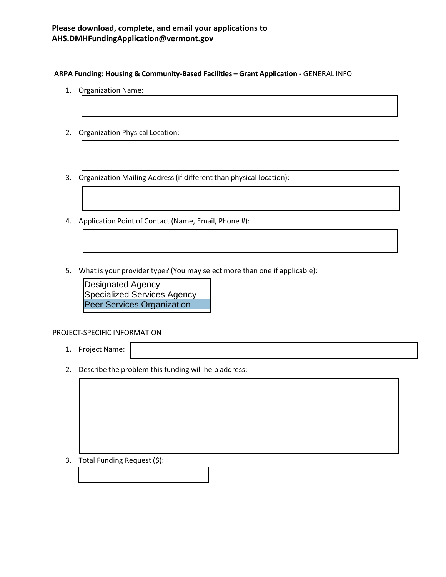## **ARPA Funding: Housing & Community-Based Facilities – Grant Application -** GENERAL INFO

- 1. Organization Name:
- 2. Organization Physical Location:
- 3. Organization Mailing Address (if different than physical location):
- 4. Application Point of Contact (Name, Email, Phone #):
- 5. What is your provider type? (You may select more than one if applicable):

Designated Agency Specialized Services Agency Peer Services Organization

## PROJECT-SPECIFIC INFORMATION

- 1. Project Name:
- 2. Describe the problem this funding will help address:

3. Total Funding Request (\$):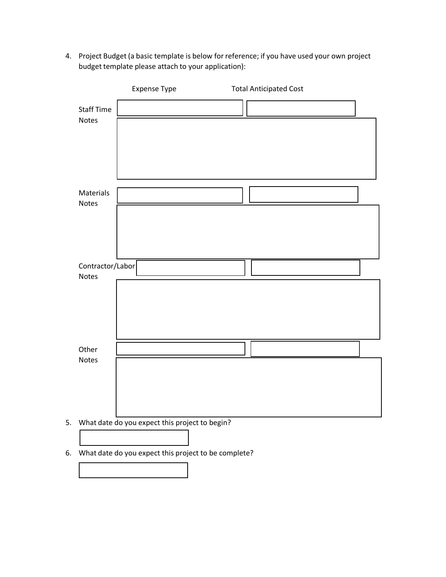4. Project Budget (a basic template is below for reference; if you have used your own project budget template please attach to your application):

|                   | Expense Type                                      | <b>Total Anticipated Cost</b> |  |
|-------------------|---------------------------------------------------|-------------------------------|--|
| <b>Staff Time</b> |                                                   |                               |  |
| <b>Notes</b>      |                                                   |                               |  |
|                   |                                                   |                               |  |
|                   |                                                   |                               |  |
| Materials         |                                                   |                               |  |
| <b>Notes</b>      |                                                   |                               |  |
|                   |                                                   |                               |  |
|                   |                                                   |                               |  |
| Contractor/Labor  |                                                   |                               |  |
| <b>Notes</b>      |                                                   |                               |  |
|                   |                                                   |                               |  |
|                   |                                                   |                               |  |
| Other             |                                                   |                               |  |
| <b>Notes</b>      |                                                   |                               |  |
|                   |                                                   |                               |  |
|                   |                                                   |                               |  |
|                   | 5. What date do you expect this project to begin? |                               |  |
|                   |                                                   |                               |  |

6. What date do you expect this project to be complete?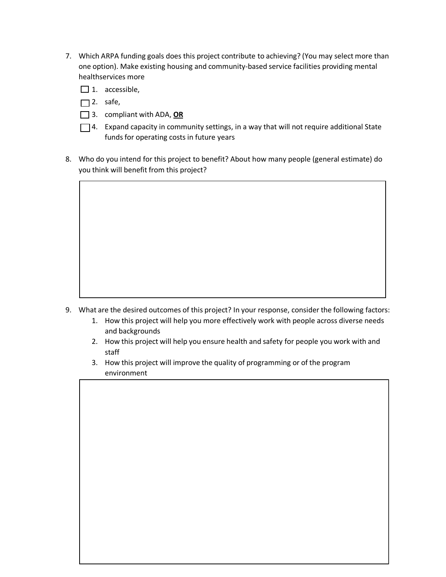- 7. Which ARPA funding goals does this project contribute to achieving? (You may select more than one option). Make existing housing and community-based service facilities providing mental healthservices more
	- $\Box$  1. accessible,
	- $\Box$  2. safe,
	- 3. compliant with ADA, **OR**
	- $\Box$  4. Expand capacity in community settings, in a way that will not require additional State funds for operating costs in future years
- 8. Who do you intend for this project to benefit? About how many people (general estimate) do you think will benefit from this project?

- 9. What are the desired outcomes of this project? In your response, consider the following factors:
	- 1. How this project will help you more effectively work with people across diverse needs and backgrounds
	- 2. How this project will help you ensure health and safety for people you work with and staff
	- 3. How this project will improve the quality of programming or of the program environment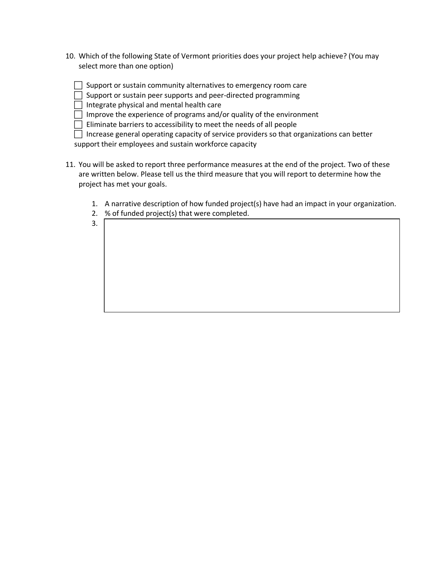- 10. Which of the following State of Vermont priorities does your project help achieve? (You may select more than one option)
	- $\Box$  Support or sustain community alternatives to emergency room care
	- $\Box$  Support or sustain peer supports and peer-directed programming
	- $\Box$  Integrate physical and mental health care

3.

 $\Box$  Improve the experience of programs and/or quality of the environment

 $\Box$  Eliminate barriers to accessibility to meet the needs of all people

 $\Box$  Increase general operating capacity of service providers so that organizations can better support their employees and sustain workforce capacity

- 11. You will be asked to report three performance measures at the end of the project. Two of these are written below. Please tell us the third measure that you will report to determine how the project has met your goals.
	- 1. A narrative description of how funded project(s) have had an impact in your organization.
	- 2. % of funded project(s) that were completed.